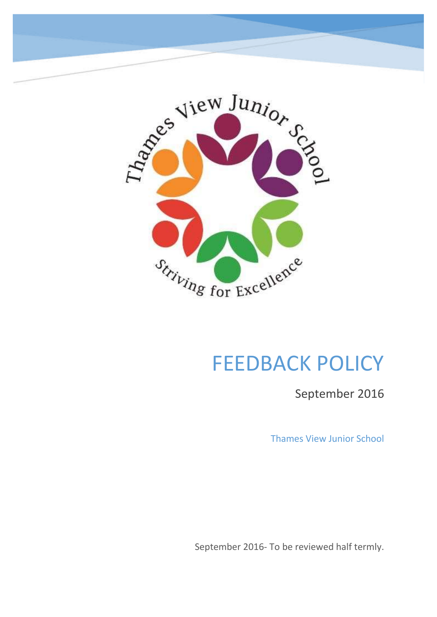

# FEEDBACK POLICY

September 2016

Thames View Junior School

September 2016- To be reviewed half termly.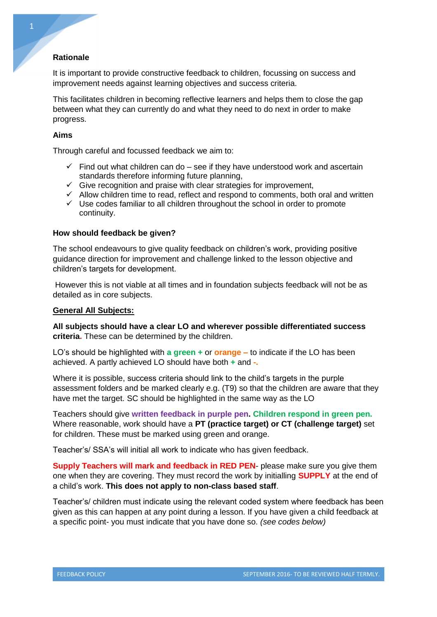## **Rationale**

It is important to provide constructive feedback to children, focussing on success and improvement needs against learning objectives and success criteria.

This facilitates children in becoming reflective learners and helps them to close the gap between what they can currently do and what they need to do next in order to make progress.

## **Aims**

Through careful and focussed feedback we aim to:

- $\checkmark$  Find out what children can do see if they have understood work and ascertain standards therefore informing future planning,
- Give recognition and praise with clear strategies for improvement,
- $\checkmark$  Allow children time to read, reflect and respond to comments, both oral and written
- $\checkmark$  Use codes familiar to all children throughout the school in order to promote continuity.

#### **How should feedback be given?**

The school endeavours to give quality feedback on children's work, providing positive guidance direction for improvement and challenge linked to the lesson objective and children's targets for development.

However this is not viable at all times and in foundation subjects feedback will not be as detailed as in core subjects.

#### **General All Subjects:**

**All subjects should have a clear LO and wherever possible differentiated success criteria.** These can be determined by the children.

LO's should be highlighted with **a green +** or **orange –** to indicate if the LO has been achieved. A partly achieved LO should have both **+** and **-.**

Where it is possible, success criteria should link to the child's targets in the purple assessment folders and be marked clearly e.g. (T9) so that the children are aware that they have met the target. SC should be highlighted in the same way as the LO

Teachers should give **written feedback in purple pen. Children respond in green pen.** Where reasonable, work should have a **PT (practice target) or CT (challenge target)** set for children. These must be marked using green and orange.

Teacher's/ SSA's will initial all work to indicate who has given feedback.

**Supply Teachers will mark and feedback in RED PEN**- please make sure you give them one when they are covering. They must record the work by initialling **SUPPLY** at the end of a child's work. **This does not apply to non-class based staff**.

Teacher's/ children must indicate using the relevant coded system where feedback has been given as this can happen at any point during a lesson. If you have given a child feedback at a specific point- you must indicate that you have done so. *(see codes below)*

1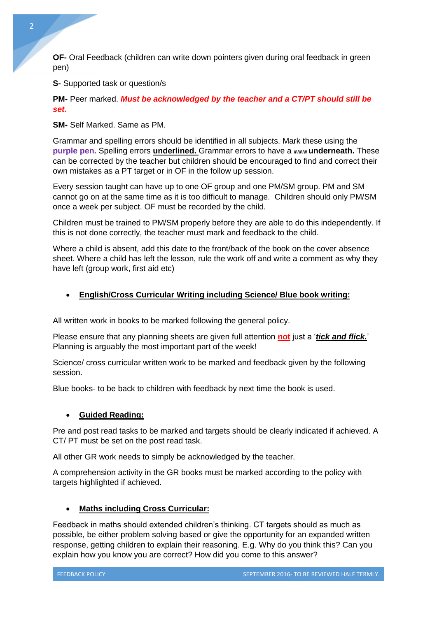**OF-** Oral Feedback (children can write down pointers given during oral feedback in green pen)

**S-** Supported task or question/s

**PM-** Peer marked. *Must be acknowledged by the teacher and a CT/PT should still be set.* 

**SM-** Self Marked. Same as PM.

Grammar and spelling errors should be identified in all subjects. Mark these using the **purple pen.** Spelling errors **underlined.** Grammar errors to have a **\/\/\/\/\/\ underneath.** These can be corrected by the teacher but children should be encouraged to find and correct their own mistakes as a PT target or in OF in the follow up session.

Every session taught can have up to one OF group and one PM/SM group. PM and SM cannot go on at the same time as it is too difficult to manage. Children should only PM/SM once a week per subject. OF must be recorded by the child.

Children must be trained to PM/SM properly before they are able to do this independently. If this is not done correctly, the teacher must mark and feedback to the child.

Where a child is absent, add this date to the front/back of the book on the cover absence sheet. Where a child has left the lesson, rule the work off and write a comment as why they have left (group work, first aid etc)

## **English/Cross Curricular Writing including Science/ Blue book writing:**

All written work in books to be marked following the general policy.

Please ensure that any planning sheets are given full attention **not** just a '*tick and flick.*' Planning is arguably the most important part of the week!

Science/ cross curricular written work to be marked and feedback given by the following session.

Blue books- to be back to children with feedback by next time the book is used.

## **Guided Reading:**

Pre and post read tasks to be marked and targets should be clearly indicated if achieved. A CT/ PT must be set on the post read task.

All other GR work needs to simply be acknowledged by the teacher.

A comprehension activity in the GR books must be marked according to the policy with targets highlighted if achieved.

## **Maths including Cross Curricular:**

Feedback in maths should extended children's thinking. CT targets should as much as possible, be either problem solving based or give the opportunity for an expanded written response, getting children to explain their reasoning. E.g. Why do you think this? Can you explain how you know you are correct? How did you come to this answer?